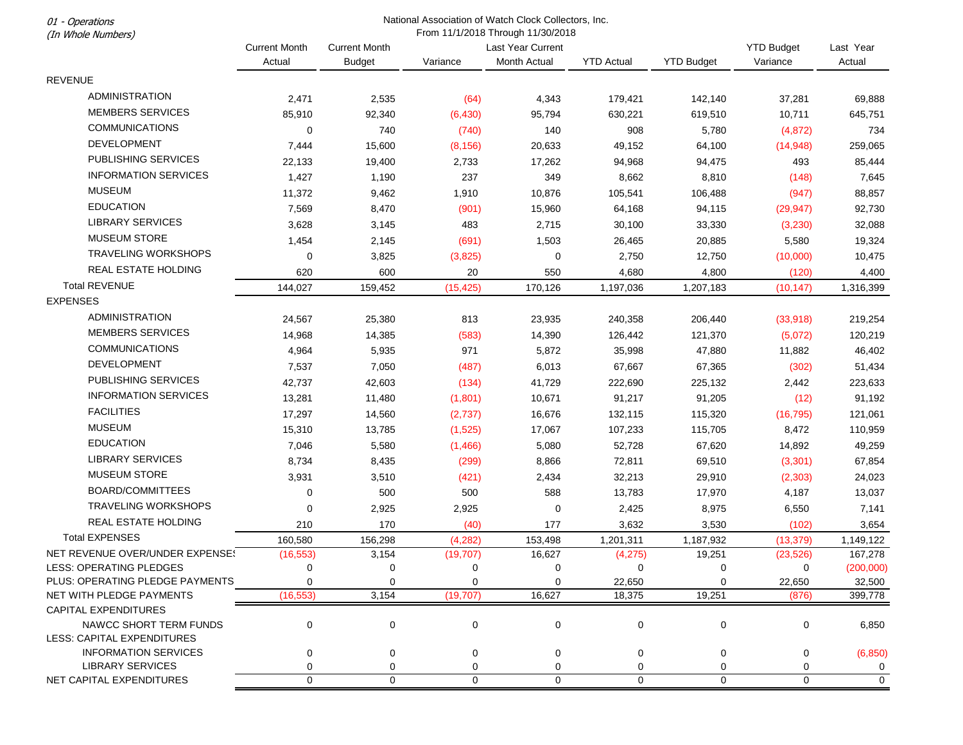| <b>Current Month</b><br>Last Year Current<br>Last Year<br><b>Current Month</b><br><b>YTD Budget</b><br>Actual<br>Variance<br><b>Month Actual</b><br><b>YTD Actual</b><br><b>YTD Budget</b><br>Variance<br>Actual<br><b>Budget</b><br><b>REVENUE</b><br><b>ADMINISTRATION</b><br>2,471<br>2,535<br>(64)<br>4,343<br>179,421<br>142,140<br>37,281<br><b>MEMBERS SERVICES</b><br>85,910<br>92,340<br>(6, 430)<br>95,794<br>630,221<br>619,510<br>10,711 | 69,888                   |
|------------------------------------------------------------------------------------------------------------------------------------------------------------------------------------------------------------------------------------------------------------------------------------------------------------------------------------------------------------------------------------------------------------------------------------------------------|--------------------------|
|                                                                                                                                                                                                                                                                                                                                                                                                                                                      |                          |
|                                                                                                                                                                                                                                                                                                                                                                                                                                                      |                          |
|                                                                                                                                                                                                                                                                                                                                                                                                                                                      |                          |
|                                                                                                                                                                                                                                                                                                                                                                                                                                                      |                          |
|                                                                                                                                                                                                                                                                                                                                                                                                                                                      | 645,751                  |
| <b>COMMUNICATIONS</b><br>740<br>908<br>0<br>(740)<br>140<br>5,780<br>(4, 872)                                                                                                                                                                                                                                                                                                                                                                        | 734                      |
| DEVELOPMENT<br>7,444<br>15,600<br>(8, 156)<br>20,633<br>49,152<br>64,100<br>(14, 948)                                                                                                                                                                                                                                                                                                                                                                | 259,065                  |
| PUBLISHING SERVICES<br>19,400<br>22,133<br>2,733<br>17,262<br>94,968<br>94,475<br>493                                                                                                                                                                                                                                                                                                                                                                | 85,444                   |
| <b>INFORMATION SERVICES</b><br>1,190<br>237<br>349<br>1,427<br>8,662<br>8,810<br>(148)                                                                                                                                                                                                                                                                                                                                                               | 7,645                    |
| <b>MUSEUM</b><br>11,372<br>9,462<br>1,910<br>10,876<br>105,541<br>106,488<br>(947)                                                                                                                                                                                                                                                                                                                                                                   | 88,857                   |
| <b>EDUCATION</b><br>7,569<br>8,470<br>(901)<br>64,168<br>15,960<br>94,115<br>(29, 947)                                                                                                                                                                                                                                                                                                                                                               | 92,730                   |
| <b>LIBRARY SERVICES</b><br>3,628<br>3,145<br>483<br>2,715<br>30,100<br>33,330<br>(3,230)                                                                                                                                                                                                                                                                                                                                                             | 32,088                   |
| <b>MUSEUM STORE</b><br>1,454<br>2,145<br>(691)<br>1,503<br>26,465<br>20,885<br>5,580                                                                                                                                                                                                                                                                                                                                                                 | 19,324                   |
| <b>TRAVELING WORKSHOPS</b><br>$\mathbf 0$<br>0<br>3,825<br>(3,825)<br>2,750<br>12,750<br>(10,000)                                                                                                                                                                                                                                                                                                                                                    | 10,475                   |
| REAL ESTATE HOLDING<br>620<br>600<br>20<br>550<br>4,680<br>4,800<br>(120)                                                                                                                                                                                                                                                                                                                                                                            | 4,400                    |
| <b>Total REVENUE</b><br>144,027<br>159,452<br>(15, 425)<br>170,126<br>1,197,036<br>1,207,183<br>(10, 147)                                                                                                                                                                                                                                                                                                                                            | 1,316,399                |
| <b>EXPENSES</b>                                                                                                                                                                                                                                                                                                                                                                                                                                      |                          |
| <b>ADMINISTRATION</b><br>813<br>24,567<br>25,380<br>23,935<br>240,358<br>206,440<br>(33,918)                                                                                                                                                                                                                                                                                                                                                         | 219,254                  |
| <b>MEMBERS SERVICES</b><br>14,968<br>14,385<br>(583)<br>14,390<br>126,442<br>121,370<br>(5,072)                                                                                                                                                                                                                                                                                                                                                      | 120,219                  |
| <b>COMMUNICATIONS</b><br>971<br>4,964<br>5,935<br>5,872<br>35,998<br>47,880<br>11,882                                                                                                                                                                                                                                                                                                                                                                | 46,402                   |
| <b>DEVELOPMENT</b><br>7,050<br>7,537<br>(487)<br>6,013<br>67,667<br>67,365<br>(302)                                                                                                                                                                                                                                                                                                                                                                  | 51,434                   |
| PUBLISHING SERVICES<br>42,737<br>42,603<br>(134)<br>41,729<br>222,690<br>225,132<br>2,442                                                                                                                                                                                                                                                                                                                                                            | 223,633                  |
| <b>INFORMATION SERVICES</b><br>13,281<br>91,217<br>11,480<br>(1,801)<br>10,671<br>91,205<br>(12)                                                                                                                                                                                                                                                                                                                                                     | 91,192                   |
| <b>FACILITIES</b><br>17,297<br>14,560<br>(2,737)<br>16,676<br>132,115<br>115,320<br>(16, 795)                                                                                                                                                                                                                                                                                                                                                        | 121,061                  |
| <b>MUSEUM</b><br>15,310<br>13,785<br>107,233<br>(1,525)<br>17,067<br>115,705<br>8,472                                                                                                                                                                                                                                                                                                                                                                | 110,959                  |
| <b>EDUCATION</b><br>7,046<br>5,580<br>(1,466)<br>5,080<br>52,728<br>67,620<br>14,892                                                                                                                                                                                                                                                                                                                                                                 | 49,259                   |
| <b>LIBRARY SERVICES</b><br>8,734<br>8,435<br>(299)<br>72,811<br>69,510<br>(3, 301)<br>8,866                                                                                                                                                                                                                                                                                                                                                          | 67,854                   |
| <b>MUSEUM STORE</b><br>3,931<br>3,510<br>(421)<br>2,434<br>32,213<br>29,910<br>(2,303)                                                                                                                                                                                                                                                                                                                                                               | 24,023                   |
| <b>BOARD/COMMITTEES</b><br>500<br>500<br>588<br>0<br>13,783<br>17,970<br>4,187                                                                                                                                                                                                                                                                                                                                                                       | 13,037                   |
| <b>TRAVELING WORKSHOPS</b><br>$\mathbf 0$<br>0<br>2,925<br>2,925<br>2,425<br>8,975<br>6,550                                                                                                                                                                                                                                                                                                                                                          | 7,141                    |
| REAL ESTATE HOLDING<br>210<br>170<br>3,632<br>(40)<br>177<br>3,530<br>(102)                                                                                                                                                                                                                                                                                                                                                                          | 3,654                    |
| <b>Total EXPENSES</b><br>160,580<br>156,298<br>(4, 282)<br>153,498<br>1,201,311<br>1,187,932<br>(13, 379)                                                                                                                                                                                                                                                                                                                                            | 1,149,122                |
| NET REVENUE OVER/UNDER EXPENSES<br>3,154<br>(23, 526)<br>(16, 553)<br>(19, 707)<br>16,627<br>(4, 275)<br>19,251                                                                                                                                                                                                                                                                                                                                      | 167,278                  |
| LESS: OPERATING PLEDGES<br>$\mathbf 0$<br>0<br>$\Omega$<br>0<br>0<br>0<br>0                                                                                                                                                                                                                                                                                                                                                                          | (200,000)                |
| PLUS: OPERATING PLEDGE PAYMENTS<br>22,650<br>22,650<br>0<br>0<br>$\Omega$<br>0<br>0                                                                                                                                                                                                                                                                                                                                                                  | 32,500                   |
| (16, 553)<br>3,154<br>(19, 707)<br>16,627<br>18,375<br>19,251<br>NET WITH PLEDGE PAYMENTS<br>(876)                                                                                                                                                                                                                                                                                                                                                   | 399,778                  |
| <b>CAPITAL EXPENDITURES</b>                                                                                                                                                                                                                                                                                                                                                                                                                          |                          |
| NAWCC SHORT TERM FUNDS<br>$\mathbf 0$<br>0<br>$\mathbf 0$<br>$\mathbf 0$<br>0<br>0<br>$\Omega$                                                                                                                                                                                                                                                                                                                                                       | 6,850                    |
| <b>LESS: CAPITAL EXPENDITURES</b>                                                                                                                                                                                                                                                                                                                                                                                                                    |                          |
| <b>INFORMATION SERVICES</b><br>0<br>$\mathbf 0$<br>0<br>0<br>0<br>0<br>0<br>LIBRARY SERVICES<br>0<br>0<br>0<br>0<br>0<br>0<br>0                                                                                                                                                                                                                                                                                                                      | (6, 850)<br>$\mathbf{0}$ |
| NET CAPITAL EXPENDITURES<br>$\mathbf 0$<br>$\mathbf 0$<br>$\mathbf 0$<br>$\mathbf 0$<br>$\mathbf 0$<br>$\mathbf 0$<br>$\mathbf 0$                                                                                                                                                                                                                                                                                                                    | $\mathbf 0$              |